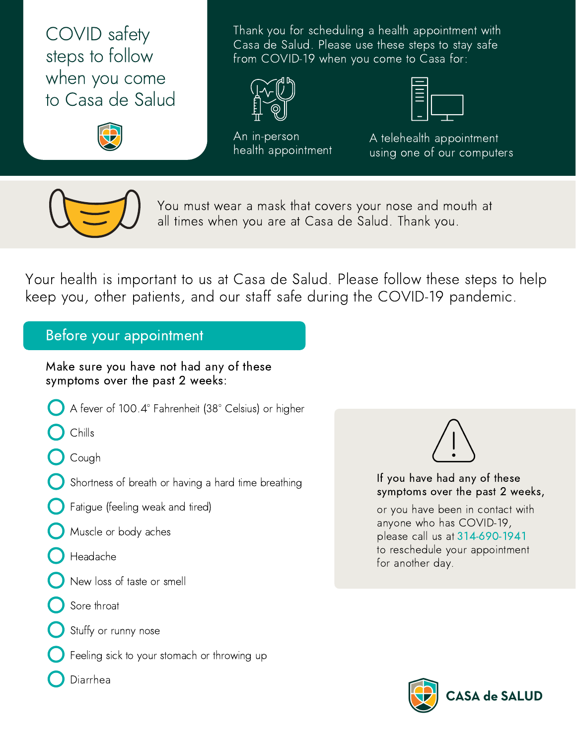COVID safety steps to follow when you come to Casa de Salud



Thank you for scheduling a health appointment with Casa de Salud. Please use these steps to stay safe from COVID-19 when you come to Casa for:



An in-person health appointment



A telehealth appointment using one of our computers



You must wear a mask that covers your nose and mouth at all times when you are at Casa de Salud. Thank you.

Your health is important to us at Casa de Salud. Please follow these steps to help keep you, other patients, and our staff safe during the COVID-19 pandemic.

## Before your appointment

Make sure you have not had any of these symptoms over the past 2 weeks:

- A fever of 100.4° Fahrenheit (38° Celsius) or higher
- Chills
- Cough
- Shortness of breath or having a hard time breathing
- Fatigue (feeling weak and tired)
- Muscle or body aches
- Headache
- New loss of taste or smell
- Sore throat
- Stuffy or runny nose
- Feeling sick to your stomach or throwing up
- Diarrhea

If you have had any of these symptoms over the past 2 weeks,

or you have been in contact with anyone who has COVID-19, please call us at 314-690-1941 to reschedule your appointment for another day.